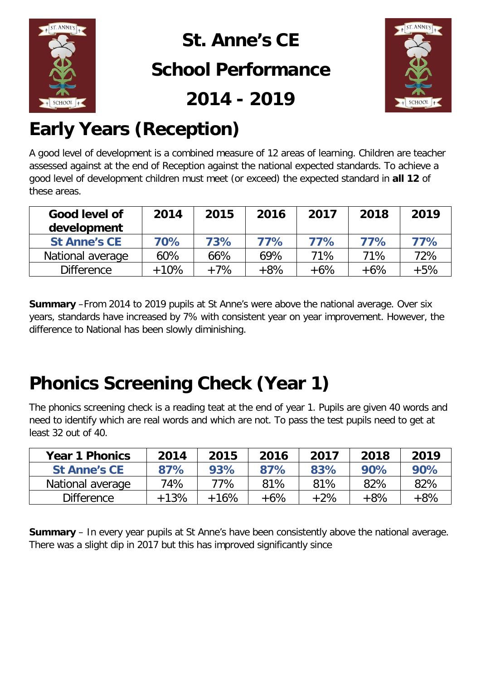

# **St. Anne's CE**

#### **School Performance**

**2014 - 2019**



## **Early Years (Reception)**

A good level of development is a combined measure of 12 areas of learning. Children are teacher assessed against at the end of Reception against the national expected standards. To achieve a good level of development children must meet (or exceed) the expected standard in **all 12** of these areas.

| Good level of<br>development | 2014   | 2015  | 2016  | 2017   | 2018  | 2019  |
|------------------------------|--------|-------|-------|--------|-------|-------|
| <b>St Anne's CE</b>          | 70%    | 73%   | 77%   | 77%    | 77%   | 77%   |
| National average             | 60%    | 66%   | 69%   | 71%    | 71%   | 72%   |
| <b>Difference</b>            | $+10%$ | $+7%$ | $+8%$ | $+6\%$ | $+6%$ | $+5%$ |

**Summary** –From 2014 to 2019 pupils at St Anne's were above the national average. Over six years, standards have increased by 7% with consistent year on year improvement. However, the difference to National has been slowly diminishing.

## **Phonics Screening Check (Year 1)**

The phonics screening check is a reading teat at the end of year 1. Pupils are given 40 words and need to identify which are real words and which are not. To pass the test pupils need to get at least 32 out of 40.

| <b>Year 1 Phonics</b> | 2014   | 2015    | 2016   | 2017  | 2018  | 2019  |
|-----------------------|--------|---------|--------|-------|-------|-------|
| <b>St Anne's CE</b>   | 87%    | 93%     | 87%    | 83%   | 90%   | 90%   |
| National average      | 74%    | 77%     | 81%    | 81%   | 82%   | 82%   |
| <b>Difference</b>     | $+13%$ | $+16\%$ | $+6\%$ | $+2%$ | $+8%$ | $+8%$ |

**Summary** – In every year pupils at St Anne's have been consistently above the national average. There was a slight dip in 2017 but this has improved significantly since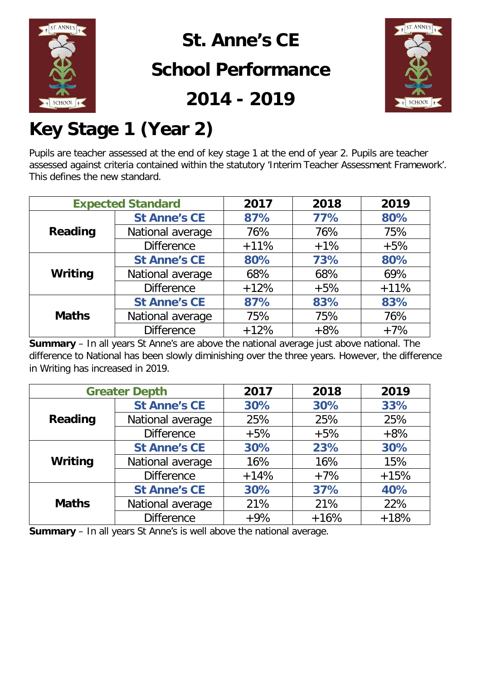

### **St. Anne's CE**

### **School Performance**

**2014 - 2019**



## **Key Stage 1 (Year 2)**

Pupils are teacher assessed at the end of key stage 1 at the end of year 2. Pupils are teacher assessed against criteria contained within the statutory 'Interim Teacher Assessment Framework'. This defines the new standard.

|                | <b>Expected Standard</b> |        | 2018  | 2019   |
|----------------|--------------------------|--------|-------|--------|
|                | <b>St Anne's CE</b>      | 87%    | 77%   | 80%    |
| <b>Reading</b> | National average         | 76%    | 76%   | 75%    |
|                | <b>Difference</b>        | $+11%$ | $+1%$ | $+5%$  |
|                | <b>St Anne's CE</b>      | 80%    | 73%   | 80%    |
| Writing        | National average         | 68%    | 68%   | 69%    |
|                | <b>Difference</b>        | $+12%$ | $+5%$ | $+11%$ |
|                | <b>St Anne's CE</b>      | 87%    | 83%   | 83%    |
| <b>Maths</b>   | National average         | 75%    | 75%   | 76%    |
|                | <b>Difference</b>        | $+12%$ | $+8%$ | $+7%$  |

**Summary** – In all years St Anne's are above the national average just above national. The difference to National has been slowly diminishing over the three years. However, the difference in Writing has increased in 2019.

| <b>Greater Depth</b> |                     | 2017   | 2018   | 2019   |
|----------------------|---------------------|--------|--------|--------|
|                      | <b>St Anne's CE</b> | 30%    | 30%    | 33%    |
| Reading              | National average    | 25%    | 25%    | 25%    |
|                      | <b>Difference</b>   | $+5%$  | $+5%$  | $+8%$  |
|                      | <b>St Anne's CE</b> | 30%    | 23%    | 30%    |
| Writing              | National average    | 16%    | 16%    | 15%    |
|                      | <b>Difference</b>   | $+14%$ | $+7%$  | $+15%$ |
|                      | <b>St Anne's CE</b> | 30%    | 37%    | 40%    |
| <b>Maths</b>         | National average    | 21%    | 21%    | 22%    |
|                      | <b>Difference</b>   | $+9%$  | $+16%$ | $+18%$ |

**Summary** – In all years St Anne's is well above the national average.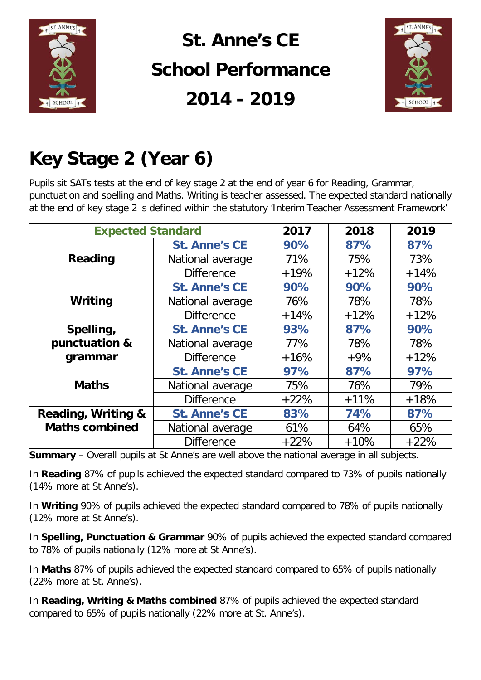

## **St. Anne's CE School Performance 2014 - 2019**



## **Key Stage 2 (Year 6)**

Pupils sit SATs tests at the end of key stage 2 at the end of year 6 for Reading, Grammar, punctuation and spelling and Maths. Writing is teacher assessed. The expected standard nationally at the end of key stage 2 is defined within the statutory 'Interim Teacher Assessment Framework'

| <b>Expected Standard</b> |                      | 2017   | 2018   | 2019   |
|--------------------------|----------------------|--------|--------|--------|
|                          | <b>St. Anne's CE</b> | 90%    | 87%    | 87%    |
| Reading                  | National average     | 71%    | 75%    | 73%    |
|                          | <b>Difference</b>    | $+19%$ | $+12%$ | $+14%$ |
|                          | <b>St. Anne's CE</b> | 90%    | 90%    | 90%    |
| Writing                  | National average     | 76%    | 78%    | 78%    |
|                          | <b>Difference</b>    | $+14%$ | $+12%$ | $+12%$ |
| Spelling,                | <b>St. Anne's CE</b> | 93%    | 87%    | 90%    |
| punctuation &            | National average     | 77%    | 78%    | 78%    |
| grammar                  | <b>Difference</b>    | $+16%$ | $+9%$  | $+12%$ |
|                          | <b>St. Anne's CE</b> | 97%    | 87%    | 97%    |
| <b>Maths</b>             | National average     | 75%    | 76%    | 79%    |
|                          | <b>Difference</b>    | $+22%$ | $+11%$ | $+18%$ |
| Reading, Writing &       | <b>St. Anne's CE</b> | 83%    | 74%    | 87%    |
| <b>Maths combined</b>    | National average     | 61%    | 64%    | 65%    |
|                          | <b>Difference</b>    | $+22%$ | $+10%$ | $+22%$ |

**Summary** – Overall pupils at St Anne's are well above the national average in all subjects.

In **Reading** 87% of pupils achieved the expected standard compared to 73% of pupils nationally (14% more at St Anne's).

In **Writing** 90% of pupils achieved the expected standard compared to 78% of pupils nationally (12% more at St Anne's).

In **Spelling, Punctuation & Grammar** 90% of pupils achieved the expected standard compared to 78% of pupils nationally (12% more at St Anne's).

In **Maths** 87% of pupils achieved the expected standard compared to 65% of pupils nationally (22% more at St. Anne's).

In **Reading, Writing & Maths combined** 87% of pupils achieved the expected standard compared to 65% of pupils nationally (22% more at St. Anne's).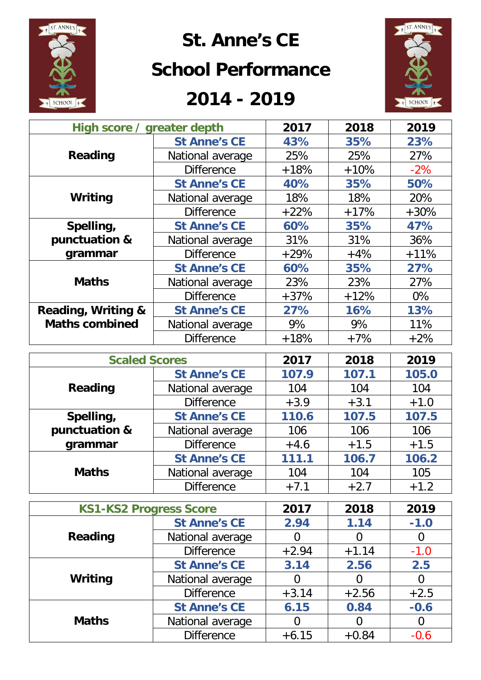

## **St. Anne's CE**

#### **School Performance**

#### **2014 - 2019**



| High score / greater depth    |                     | 2017   | 2018   | 2019   |
|-------------------------------|---------------------|--------|--------|--------|
|                               | <b>St Anne's CE</b> | 43%    | 35%    | 23%    |
| Reading                       | National average    | 25%    | 25%    | 27%    |
|                               | <b>Difference</b>   | $+18%$ | $+10%$ | $-2\%$ |
|                               | <b>St Anne's CE</b> | 40%    | 35%    | 50%    |
| Writing                       | National average    | 18%    | 18%    | 20%    |
|                               | <b>Difference</b>   | $+22%$ | $+17%$ | $+30%$ |
| Spelling,                     | <b>St Anne's CE</b> | 60%    | 35%    | 47%    |
| punctuation &                 | National average    | 31%    | 31%    | 36%    |
| grammar                       | <b>Difference</b>   | $+29%$ | $+4%$  | $+11%$ |
|                               | <b>St Anne's CE</b> | 60%    | 35%    | 27%    |
| <b>Maths</b>                  | National average    | 23%    | 23%    | 27%    |
|                               | <b>Difference</b>   | $+37%$ | $+12%$ | 0%     |
| <b>Reading, Writing &amp;</b> | <b>St Anne's CE</b> | 27%    | 16%    | 13%    |
| <b>Maths combined</b>         | National average    | 9%     | 9%     | 11%    |
|                               | <b>Difference</b>   | $+18%$ | $+7%$  | $+2%$  |

| <b>Scaled Scores</b>              |                     | 2017   | 2018   | 2019   |
|-----------------------------------|---------------------|--------|--------|--------|
|                                   | <b>St Anne's CE</b> | 107.9  | 107.1  | 105.0  |
| <b>Reading</b>                    | National average    | 104    | 104    | 104    |
|                                   | <b>Difference</b>   | $+3.9$ | $+3.1$ | $+1.0$ |
| Spelling,                         | <b>St Anne's CE</b> | 110.6  | 107.5  | 107.5  |
| punctuation &<br>National average |                     | 106    | 106    | 106    |
| grammar                           | <b>Difference</b>   | $+4.6$ | $+1.5$ | $+1.5$ |
|                                   | <b>St Anne's CE</b> | 111.1  | 106.7  | 106.2  |
| <b>Maths</b>                      | National average    | 104    | 104    | 105    |
|                                   | <b>Difference</b>   | $+7.1$ | $+2.7$ | $+1.2$ |

|              | <b>KS1-KS2 Progress Score</b> |         | 2018    | 2019   |
|--------------|-------------------------------|---------|---------|--------|
|              | <b>St Anne's CE</b>           | 2.94    | 1.14    | $-1.0$ |
| Reading      | National average              |         | O       | Ő      |
|              | <b>Difference</b>             | $+2.94$ | $+1.14$ | $-1.0$ |
| Writing      | <b>St Anne's CE</b>           | 3.14    | 2.56    | 2.5    |
|              | National average              | 0       | 0       | 0      |
|              | <b>Difference</b>             | $+3.14$ | $+2.56$ | $+2.5$ |
| <b>Maths</b> | <b>St Anne's CE</b>           | 6.15    | 0.84    | $-0.6$ |
|              | National average              |         | 0       | O      |
|              | <b>Difference</b>             | $+6.15$ | $+0.84$ | $-0.6$ |